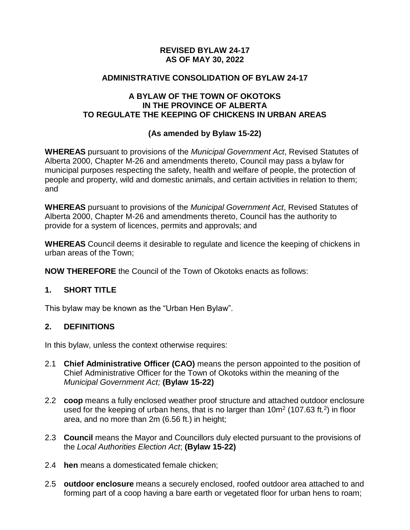### **REVISED BYLAW 24-17 AS OF MAY 30, 2022**

#### **ADMINISTRATIVE CONSOLIDATION OF BYLAW 24-17**

#### **A BYLAW OF THE TOWN OF OKOTOKS IN THE PROVINCE OF ALBERTA TO REGULATE THE KEEPING OF CHICKENS IN URBAN AREAS**

### **(As amended by Bylaw 15-22)**

**WHEREAS** pursuant to provisions of the *Municipal Government Act*, Revised Statutes of Alberta 2000, Chapter M-26 and amendments thereto, Council may pass a bylaw for municipal purposes respecting the safety, health and welfare of people, the protection of people and property, wild and domestic animals, and certain activities in relation to them; and

**WHEREAS** pursuant to provisions of the *Municipal Government Act*, Revised Statutes of Alberta 2000, Chapter M-26 and amendments thereto, Council has the authority to provide for a system of licences, permits and approvals; and

**WHEREAS** Council deems it desirable to regulate and licence the keeping of chickens in urban areas of the Town;

**NOW THEREFORE** the Council of the Town of Okotoks enacts as follows:

### **1. SHORT TITLE**

This bylaw may be known as the "Urban Hen Bylaw".

### **2. DEFINITIONS**

In this bylaw, unless the context otherwise requires:

- 2.1 **Chief Administrative Officer (CAO)** means the person appointed to the position of Chief Administrative Officer for the Town of Okotoks within the meaning of the *Municipal Government Act;* **(Bylaw 15-22)**
- 2.2 **coop** means a fully enclosed weather proof structure and attached outdoor enclosure used for the keeping of urban hens, that is no larger than  $10m^2$  (107.63 ft.<sup>2</sup>) in floor area, and no more than 2m (6.56 ft.) in height;
- 2.3 **Council** means the Mayor and Councillors duly elected pursuant to the provisions of the *Local Authorities Election Act*; **(Bylaw 15-22)**
- 2.4 **hen** means a domesticated female chicken;
- 2.5 **outdoor enclosure** means a securely enclosed, roofed outdoor area attached to and forming part of a coop having a bare earth or vegetated floor for urban hens to roam;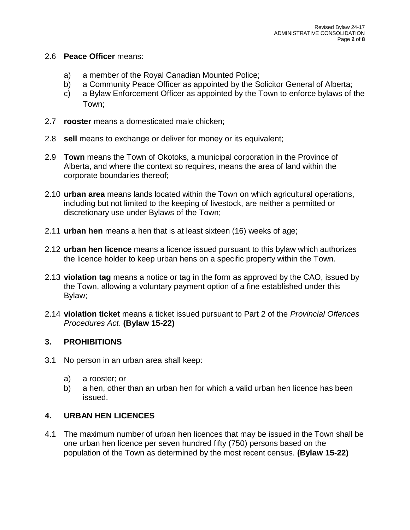#### 2.6 **Peace Officer** means:

- a) a member of the Royal Canadian Mounted Police;
- b) a Community Peace Officer as appointed by the Solicitor General of Alberta;
- c) a Bylaw Enforcement Officer as appointed by the Town to enforce bylaws of the Town;
- 2.7 **rooster** means a domesticated male chicken;
- 2.8 **sell** means to exchange or deliver for money or its equivalent;
- 2.9 **Town** means the Town of Okotoks, a municipal corporation in the Province of Alberta, and where the context so requires, means the area of land within the corporate boundaries thereof;
- 2.10 **urban area** means lands located within the Town on which agricultural operations, including but not limited to the keeping of livestock, are neither a permitted or discretionary use under Bylaws of the Town;
- 2.11 **urban hen** means a hen that is at least sixteen (16) weeks of age;
- 2.12 **urban hen licence** means a licence issued pursuant to this bylaw which authorizes the licence holder to keep urban hens on a specific property within the Town.
- 2.13 **violation tag** means a notice or tag in the form as approved by the CAO, issued by the Town, allowing a voluntary payment option of a fine established under this Bylaw;
- 2.14 **violation ticket** means a ticket issued pursuant to Part 2 of the *Provincial Offences Procedures Act*. **(Bylaw 15-22)**

# **3. PROHIBITIONS**

- 3.1 No person in an urban area shall keep:
	- a) a rooster; or
	- b) a hen, other than an urban hen for which a valid urban hen licence has been issued.

# **4. URBAN HEN LICENCES**

4.1 The maximum number of urban hen licences that may be issued in the Town shall be one urban hen licence per seven hundred fifty (750) persons based on the population of the Town as determined by the most recent census. **(Bylaw 15-22)**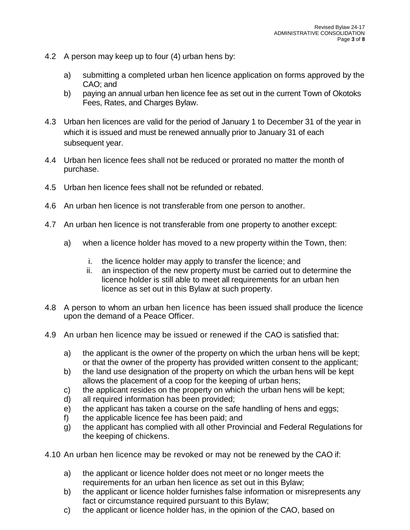- 4.2 A person may keep up to four (4) urban hens by:
	- a) submitting a completed urban hen licence application on forms approved by the CAO; and
	- b) paying an annual urban hen licence fee as set out in the current Town of Okotoks Fees, Rates, and Charges Bylaw.
- 4.3 Urban hen licences are valid for the period of January 1 to December 31 of the year in which it is issued and must be renewed annually prior to January 31 of each subsequent year.
- 4.4 Urban hen licence fees shall not be reduced or prorated no matter the month of purchase.
- 4.5 Urban hen licence fees shall not be refunded or rebated.
- 4.6 An urban hen licence is not transferable from one person to another.
- 4.7 An urban hen licence is not transferable from one property to another except:
	- a) when a licence holder has moved to a new property within the Town, then:
		- i. the licence holder may apply to transfer the licence; and
		- ii. an inspection of the new property must be carried out to determine the licence holder is still able to meet all requirements for an urban hen licence as set out in this Bylaw at such property.
- 4.8 A person to whom an urban hen licence has been issued shall produce the licence upon the demand of a Peace Officer.
- 4.9 An urban hen licence may be issued or renewed if the CAO is satisfied that:
	- a) the applicant is the owner of the property on which the urban hens will be kept; or that the owner of the property has provided written consent to the applicant;
	- b) the land use designation of the property on which the urban hens will be kept allows the placement of a coop for the keeping of urban hens;
	- c) the applicant resides on the property on which the urban hens will be kept;
	- d) all required information has been provided;
	- e) the applicant has taken a course on the safe handling of hens and eggs;
	- f) the applicable licence fee has been paid; and
	- g) the applicant has complied with all other Provincial and Federal Regulations for the keeping of chickens.
- 4.10 An urban hen licence may be revoked or may not be renewed by the CAO if:
	- a) the applicant or licence holder does not meet or no longer meets the requirements for an urban hen licence as set out in this Bylaw;
	- b) the applicant or licence holder furnishes false information or misrepresents any fact or circumstance required pursuant to this Bylaw;
	- c) the applicant or licence holder has, in the opinion of the CAO, based on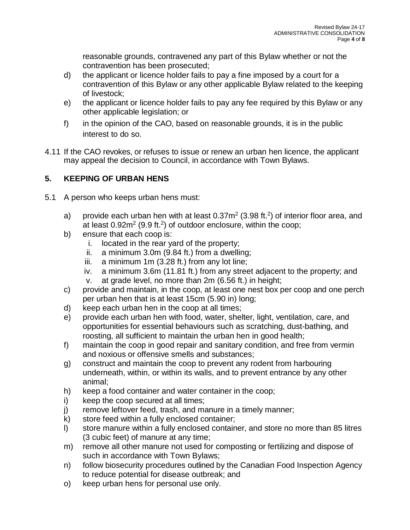reasonable grounds, contravened any part of this Bylaw whether or not the contravention has been prosecuted;

- d) the applicant or licence holder fails to pay a fine imposed by a court for a contravention of this Bylaw or any other applicable Bylaw related to the keeping of livestock;
- e) the applicant or licence holder fails to pay any fee required by this Bylaw or any other applicable legislation; or
- f) in the opinion of the CAO, based on reasonable grounds, it is in the public interest to do so.
- 4.11 If the CAO revokes, or refuses to issue or renew an urban hen licence, the applicant may appeal the decision to Council, in accordance with Town Bylaws.

# **5. KEEPING OF URBAN HENS**

- 5.1 A person who keeps urban hens must:
	- a) provide each urban hen with at least  $0.37m^2$  (3.98 ft.<sup>2</sup>) of interior floor area, and at least  $0.92m^2$  (9.9 ft.<sup>2</sup>) of outdoor enclosure, within the coop;
	- b) ensure that each coop is:
		- i. located in the rear yard of the property;
		- ii. a minimum 3.0m (9.84 ft.) from a dwelling;
		- iii. a minimum 1m (3.28 ft.) from any lot line;
		- iv. a minimum 3.6m (11.81 ft.) from any street adjacent to the property; and
		- v. at grade level, no more than 2m (6.56 ft.) in height;
	- c) provide and maintain, in the coop, at least one nest box per coop and one perch per urban hen that is at least 15cm (5.90 in) long;
	- d) keep each urban hen in the coop at all times;
	- e) provide each urban hen with food, water, shelter, light, ventilation, care, and opportunities for essential behaviours such as scratching, dust-bathing, and roosting, all sufficient to maintain the urban hen in good health;
	- f) maintain the coop in good repair and sanitary condition, and free from vermin and noxious or offensive smells and substances;
	- g) construct and maintain the coop to prevent any rodent from harbouring underneath, within, or within its walls, and to prevent entrance by any other animal;
	- h) keep a food container and water container in the coop;
	- i) keep the coop secured at all times;
	- j) remove leftover feed, trash, and manure in a timely manner;
	- k) store feed within a fully enclosed container;
	- l) store manure within a fully enclosed container, and store no more than 85 litres (3 cubic feet) of manure at any time;
	- m) remove all other manure not used for composting or fertilizing and dispose of such in accordance with Town Bylaws;
	- n) follow biosecurity procedures outlined by the Canadian Food Inspection Agency to reduce potential for disease outbreak; and
	- o) keep urban hens for personal use only.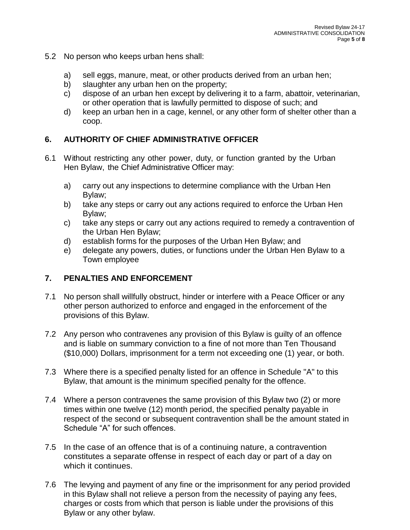- 5.2 No person who keeps urban hens shall:
	- a) sell eggs, manure, meat, or other products derived from an urban hen;
	- b) slaughter any urban hen on the property;
	- c) dispose of an urban hen except by delivering it to a farm, abattoir, veterinarian, or other operation that is lawfully permitted to dispose of such; and
	- d) keep an urban hen in a cage, kennel, or any other form of shelter other than a coop.

# **6. AUTHORITY OF CHIEF ADMINISTRATIVE OFFICER**

- 6.1 Without restricting any other power, duty, or function granted by the Urban Hen Bylaw, the Chief Administrative Officer may:
	- a) carry out any inspections to determine compliance with the Urban Hen Bylaw;
	- b) take any steps or carry out any actions required to enforce the Urban Hen Bylaw;
	- c) take any steps or carry out any actions required to remedy a contravention of the Urban Hen Bylaw;
	- d) establish forms for the purposes of the Urban Hen Bylaw; and
	- e) delegate any powers, duties, or functions under the Urban Hen Bylaw to a Town employee

# **7. PENALTIES AND ENFORCEMENT**

- 7.1 No person shall willfully obstruct, hinder or interfere with a Peace Officer or any other person authorized to enforce and engaged in the enforcement of the provisions of this Bylaw.
- 7.2 Any person who contravenes any provision of this Bylaw is guilty of an offence and is liable on summary conviction to a fine of not more than Ten Thousand (\$10,000) Dollars, imprisonment for a term not exceeding one (1) year, or both.
- 7.3 Where there is a specified penalty listed for an offence in Schedule "A" to this Bylaw, that amount is the minimum specified penalty for the offence.
- 7.4 Where a person contravenes the same provision of this Bylaw two (2) or more times within one twelve (12) month period, the specified penalty payable in respect of the second or subsequent contravention shall be the amount stated in Schedule "A" for such offences.
- 7.5 In the case of an offence that is of a continuing nature, a contravention constitutes a separate offense in respect of each day or part of a day on which it continues.
- 7.6 The levying and payment of any fine or the imprisonment for any period provided in this Bylaw shall not relieve a person from the necessity of paying any fees, charges or costs from which that person is liable under the provisions of this Bylaw or any other bylaw.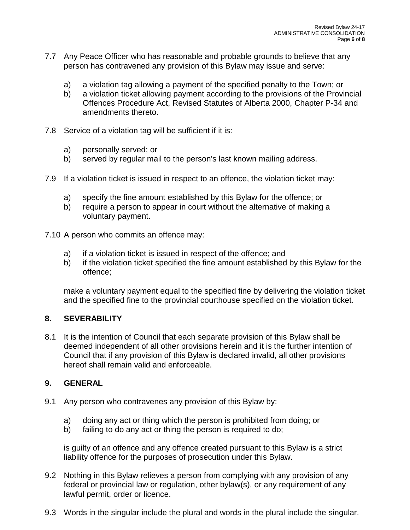- 7.7 Any Peace Officer who has reasonable and probable grounds to believe that any person has contravened any provision of this Bylaw may issue and serve:
	- a) a violation tag allowing a payment of the specified penalty to the Town; or
	- b) a violation ticket allowing payment according to the provisions of the Provincial Offences Procedure Act, Revised Statutes of Alberta 2000, Chapter P-34 and amendments thereto.
- 7.8 Service of a violation tag will be sufficient if it is:
	- a) personally served; or
	- b) served by regular mail to the person's last known mailing address.
- 7.9 If a violation ticket is issued in respect to an offence, the violation ticket may:
	- a) specify the fine amount established by this Bylaw for the offence; or
	- b) require a person to appear in court without the alternative of making a voluntary payment.
- 7.10 A person who commits an offence may:
	- a) if a violation ticket is issued in respect of the offence; and
	- b) if the violation ticket specified the fine amount established by this Bylaw for the offence;

make a voluntary payment equal to the specified fine by delivering the violation ticket and the specified fine to the provincial courthouse specified on the violation ticket.

### **8. SEVERABILITY**

8.1 It is the intention of Council that each separate provision of this Bylaw shall be deemed independent of all other provisions herein and it is the further intention of Council that if any provision of this Bylaw is declared invalid, all other provisions hereof shall remain valid and enforceable.

### **9. GENERAL**

- 9.1 Any person who contravenes any provision of this Bylaw by:
	- a) doing any act or thing which the person is prohibited from doing; or
	- b) failing to do any act or thing the person is required to do;

is guilty of an offence and any offence created pursuant to this Bylaw is a strict liability offence for the purposes of prosecution under this Bylaw.

- 9.2 Nothing in this Bylaw relieves a person from complying with any provision of any federal or provincial law or regulation, other bylaw(s), or any requirement of any lawful permit, order or licence.
- 9.3 Words in the singular include the plural and words in the plural include the singular.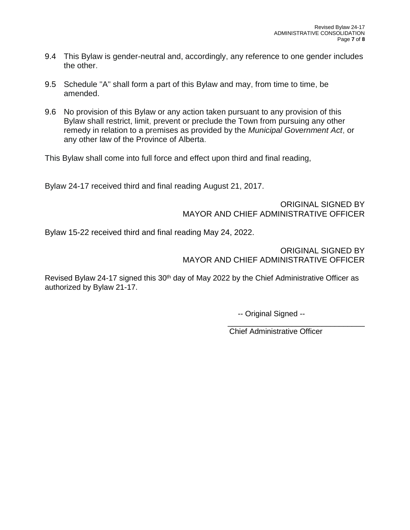- 9.4 This Bylaw is gender-neutral and, accordingly, any reference to one gender includes the other.
- 9.5 Schedule "A" shall form a part of this Bylaw and may, from time to time, be amended.
- 9.6 No provision of this Bylaw or any action taken pursuant to any provision of this Bylaw shall restrict, limit, prevent or preclude the Town from pursuing any other remedy in relation to a premises as provided by the *Municipal Government Act*, or any other law of the Province of Alberta.

This Bylaw shall come into full force and effect upon third and final reading,

Bylaw 24-17 received third and final reading August 21, 2017.

ORIGINAL SIGNED BY MAYOR AND CHIEF ADMINISTRATIVE OFFICER

Bylaw 15-22 received third and final reading May 24, 2022.

ORIGINAL SIGNED BY MAYOR AND CHIEF ADMINISTRATIVE OFFICER

Revised Bylaw 24-17 signed this 30<sup>th</sup> day of May 2022 by the Chief Administrative Officer as authorized by Bylaw 21-17.

-- Original Signed --

Chief Administrative Officer

\_\_\_\_\_\_\_\_\_\_\_\_\_\_\_\_\_\_\_\_\_\_\_\_\_\_\_\_\_\_\_\_